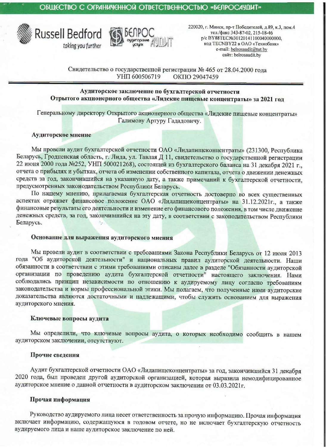



220020, г. Минск, пр-т Победителей, д.89, к.3, пом.4 тел./факс 343-87-02, 215-18-46 p/c BY88TECN230120141100040000000, код TECNBY22 в ОАО «Технобанк» e-mail: belrosaudit@tut.by caйт: belrosaudit.by

Свидетельство о государственной регистрации № 465 от 28.04.2000 года УНП 600506719 OKIIO 29047459

Аудиторское заключение по бухгалтерской отчетности Отрытого акционерного общества «Лидские пищевые концентраты» за 2021 год

Генеральному директору Открытого акционерного общества «Лидские пищевые концентраты» Галимову Артуру Гададовичу.

#### Аудиторское мнение

Мы провели аудит бухгалтерской отчетности ОАО «Лидапищеконцентраты» (231300, Республика Беларусь, Гродненская область, г. Лида, ул. Тавлая Д 11, свидетельство о государственной регистрации 22 июня 2000 года №252, УНП 500021268), состоящей из бухгалтерского баланса на 31 декабря 2021 г., отчета о прибылях и убытках, отчета об изменении собственного капитала, отчета о движении денежных средств за год, закончившийся на указанную дату, а также примечаний к бухгалтерской отчетности, предусмотренных законодательством Республики Беларусь.

По нашему мнению, прилагаемая бухгалтерская отчетность достоверно во всех существенных аспектах отражает финансовое положение ОАО «Лидапищеконцентраты» на 31.12.2021г., а также финансовые результаты его деятельности и изменение его финансового положения, в том числе движение денежных средств, за год, закончившийся на эту дату, в соответствии с законодательством Республики Беларусь.

## Основание для выражения аудиторского мнения

Мы провели аудит в соответствии с требованиями Закона Республики Беларусь от 12 июля 2013 года "Об аудиторской деятельности" и национальных правил аудиторской деятельности. Наши обязанности в соответствии с этими требованиями описаны далее в разделе "Обязанности аудиторской организации по проведению аудита бухгалтерской отчетности" настоящего заключения. Нами соблюдались принцип независимости по отношению к аудируемому лицу согласно требованиям законодательства и нормы профессиональной этики. Мы полагаем, что полученные нами аудиторские доказательства являются достаточными и надлежащими, чтобы служить основанием для выражения аудиторского мнения.

## Ключевые вопросы аудита

Мы определили, что ключевые вопросы аудита, о которых необходимо сообщить в нашем аудиторском заключении, отсутствуют.

## Прочие сведения

Аудит бухгалтерской отчетности ОАО «Лидапищеконцентраты» за год, закончившийся 31 декабря 2020 года, был проведен другой аудиторской организацией, которая выразила немодифицированное аудиторское мнение о данной отчетности в аудиторском заключении от 03.03.2021г.

## Прочая информация

Руководство аудируемого лица несет ответственность за прочую информацию. Прочая информация включает информацию, содержащуюся в годовом отчете, но не включает бухгалтерскую отчетность аудируемого лица и наше аудиторское заключение по ней.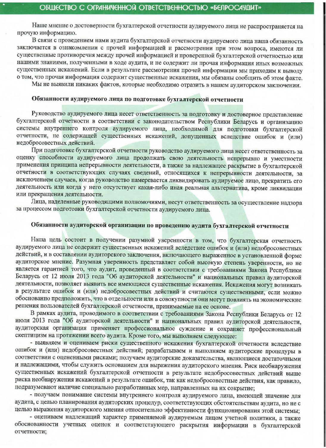Наше мнение о достоверности бухгалтерской отчетности аудируемого лица не распространяется на прочую информацию.

В связи с проведением нами аудита бухгалтерской отчетности аудируемого лица наша обязанность заключается в ознакомлении с прочей информацией и рассмотрении при этом вопроса, имеются ли существенные противоречия между прочей информацией и проверенной бухгалтерской отчетностью или нашими знаниями, полученными в ходе аудита, и не содержит ли прочая информация иных возможных существенных искажений. Если в результате рассмотрения прочей информации мы приходим к выводу о том, что прочая информация содержит существенные искажения, мы обязаны сообщить об этом факте.

Мы не выявили никаких фактов, которые необходимо отразить в нашем аудиторском заключении.

#### Обязанности аудируемого лица по подготовке бухгалтерской отчетности

Руководство аудируемого лица несет ответственность за подготовку и достоверное представление бухгалтерской отчетности в соответствии с законодательством Республики Беларусь и организацию системы внутреннего контроля аудируемого лица, необходимой для подготовки бухгалтерской отчетности, не содержащей существенных искажений, допущенных вследствие ошибок и (или) недобросовестных действий.

При подготовке бухгалтерской отчетности руководство аудируемого лица несет ответственность за оценку способности аудируемого лица продолжать свою деятельность непрерывно и уместности применения принципа непрерывности деятельности, а также за надлежащее раскрытие в бухгалтерской отчетности в соответствующих случаях сведений, относящихся к непрерывности деятельности, за исключением случаев, когда руководство намеревается ликвидировать аудируемое лицо, прекратить его деятельность или когда у него отсутствует какая-либо иная реальная альтернатива, кроме ликвидации или прекращения деятельности.

Лица, наделенные руководящими полномочиями, несут ответственность за осуществление надзора за процессом подготовки бухгалтерской отчетности аудируемого лица.

# Обязанности аудиторской организации по проведению аудита бухгалтерской отчетности

Наша цель состоит в получении разумной уверенности в том, что бухгалтерская отчетность аудируемого лица не содержит существенных искажений вследствие ошибок и (или) недобросовестных действий, и в составлении аудиторского заключения, включающего выраженное в установленной форме аудиторское мнение. Разумная уверенность представляет собой высокую степень уверенности, но не является гарантией того, что аудит, проведенный в соответствии с требованиями Закона Республики Беларусь от 12 июля 2013 года "Об аудиторской деятельности" и национальных правил аудиторской деятельности, позволяет выявить все имеющиеся существенные искажения. Искажения могут возникать в результате ошибок и (или) недобросовестных действий и считаются существенными, если можно обоснованно предположить, что в отдельности или в совокупности они могут повлиять на экономические решения пользователей бухгалтерской отчетности, принимаемые на ее основе.

В рамках аудита, проводимого в соответствии с требованиями Закона Республики Беларусь от 12 июля 2013 года "Об аудиторской деятельности" и национальных правил аудиторской деятельности, аудиторская организация применяет профессиональное суждение и сохраняет профессиональный скептицизм на протяжении всего аудита. Кроме того, мы выполняем следующее:

- выявляем и оцениваем риски существенного искажения бухгалтерской отчетности вследствие ошибок и (или) недобросовестных действий; разрабатываем и выполняем аудиторские процедуры в соответствии с оцененными рисками; получаем аудиторские доказательства, являющиеся достаточными и надлежащими, чтобы служить основанием для выражения аудиторского мнения. Риск необнаружения существенных искажений бухгалтерской отчетности в результате недобросовестных действий выше риска необнаружения искажений в результате ошибок, так как недобросовестные действия, как правило, подразумевают наличие специально разработанных мер, направленных на их сокрытие;

- получаем понимание системы внутреннего контроля аудируемого лица, имеющей значение для аудита, с целью планирования аудиторских процедур, соответствующих обстоятельствам аудита, но не с целью выражения аудиторского мнения относительно эффективности функционирования этой системы;

- оцениваем надлежащий характер применяемой аудируемым лицом учетной политики, а также обоснованности учетных оценок и соответствующего раскрытия информации в бухгалтерской отчетности;